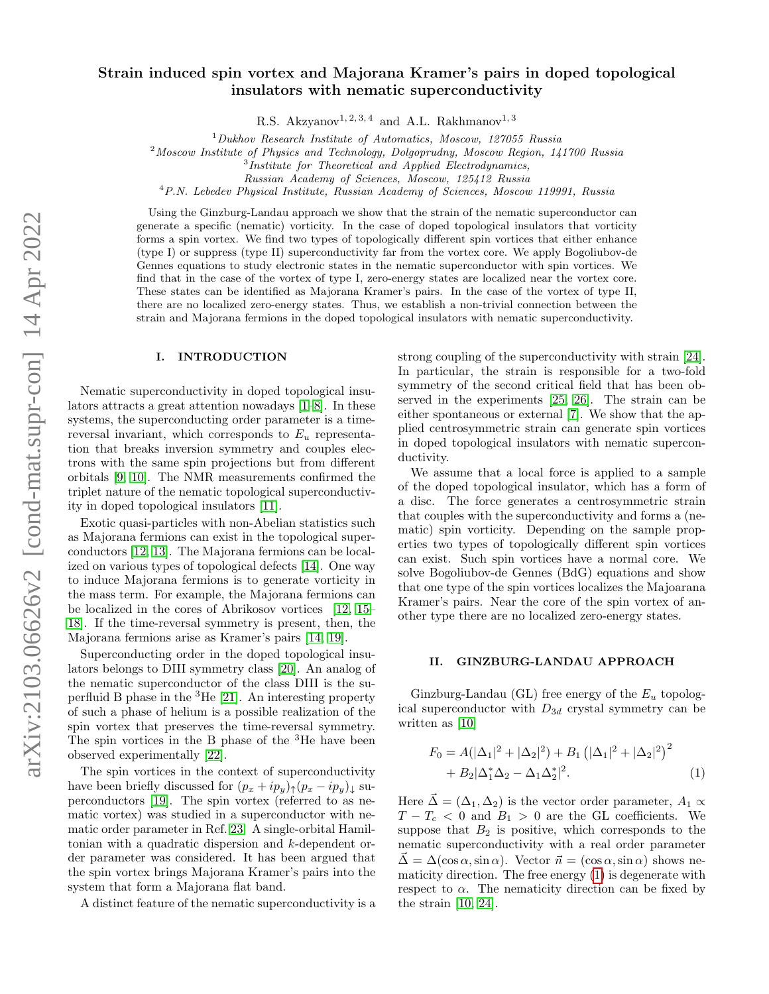# Strain induced spin vortex and Majorana Kramer's pairs in doped topological insulators with nematic superconductivity

R.S. Akzyanov<sup>1, 2, 3, 4</sup> and A.L. Rakhmanov<sup>1, 3</sup>

 $1$ Dukhov Research Institute of Automatics, Moscow, 127055 Russia

<sup>2</sup>Moscow Institute of Physics and Technology, Dolgoprudny, Moscow Region, 141700 Russia

<sup>3</sup>Institute for Theoretical and Applied Electrodynamics,

Russian Academy of Sciences, Moscow, 125412 Russia

<sup>4</sup>P.N. Lebedev Physical Institute, Russian Academy of Sciences, Moscow 119991, Russia

Using the Ginzburg-Landau approach we show that the strain of the nematic superconductor can generate a specific (nematic) vorticity. In the case of doped topological insulators that vorticity forms a spin vortex. We find two types of topologically different spin vortices that either enhance (type I) or suppress (type II) superconductivity far from the vortex core. We apply Bogoliubov-de Gennes equations to study electronic states in the nematic superconductor with spin vortices. We find that in the case of the vortex of type I, zero-energy states are localized near the vortex core. These states can be identified as Majorana Kramer's pairs. In the case of the vortex of type II, there are no localized zero-energy states. Thus, we establish a non-trivial connection between the strain and Majorana fermions in the doped topological insulators with nematic superconductivity.

#### I. INTRODUCTION

Nematic superconductivity in doped topological insulators attracts a great attention nowadays [\[1](#page-6-0)[–8\]](#page-7-0). In these systems, the superconducting order parameter is a timereversal invariant, which corresponds to  $E_u$  representation that breaks inversion symmetry and couples electrons with the same spin projections but from different orbitals [\[9,](#page-7-1) [10\]](#page-7-2). The NMR measurements confirmed the triplet nature of the nematic topological superconductivity in doped topological insulators [\[11\]](#page-7-3).

Exotic quasi-particles with non-Abelian statistics such as Majorana fermions can exist in the topological superconductors [\[12,](#page-7-4) [13\]](#page-7-5). The Majorana fermions can be localized on various types of topological defects [\[14\]](#page-7-6). One way to induce Majorana fermions is to generate vorticity in the mass term. For example, the Majorana fermions can be localized in the cores of Abrikosov vortices [\[12,](#page-7-4) [15–](#page-7-7) [18\]](#page-7-8). If the time-reversal symmetry is present, then, the Majorana fermions arise as Kramer's pairs [\[14,](#page-7-6) [19\]](#page-7-9).

Superconducting order in the doped topological insulators belongs to DIII symmetry class [\[20\]](#page-7-10). An analog of the nematic superconductor of the class DIII is the superfluid B phase in the  ${}^{3}$ He [\[21\]](#page-7-11). An interesting property of such a phase of helium is a possible realization of the spin vortex that preserves the time-reversal symmetry. The spin vortices in the B phase of the <sup>3</sup>He have been observed experimentally [\[22\]](#page-7-12).

The spin vortices in the context of superconductivity have been briefly discussed for  $(p_x + ip_y)_{\uparrow} (p_x - ip_y)_{\downarrow}$  superconductors [\[19\]](#page-7-9). The spin vortex (referred to as nematic vortex) was studied in a superconductor with nematic order parameter in Ref. [23.](#page-7-13) A single-orbital Hamiltonian with a quadratic dispersion and k-dependent order parameter was considered. It has been argued that the spin vortex brings Majorana Kramer's pairs into the system that form a Majorana flat band.

A distinct feature of the nematic superconductivity is a

strong coupling of the superconductivity with strain [\[24\]](#page-7-14). In particular, the strain is responsible for a two-fold symmetry of the second critical field that has been observed in the experiments [\[25,](#page-7-15) [26\]](#page-7-16). The strain can be either spontaneous or external [\[7\]](#page-7-17). We show that the applied centrosymmetric strain can generate spin vortices in doped topological insulators with nematic superconductivity.

We assume that a local force is applied to a sample of the doped topological insulator, which has a form of a disc. The force generates a centrosymmetric strain that couples with the superconductivity and forms a (nematic) spin vorticity. Depending on the sample properties two types of topologically different spin vortices can exist. Such spin vortices have a normal core. We solve Bogoliubov-de Gennes (BdG) equations and show that one type of the spin vortices localizes the Majoarana Kramer's pairs. Near the core of the spin vortex of another type there are no localized zero-energy states.

### II. GINZBURG-LANDAU APPROACH

Ginzburg-Landau (GL) free energy of the  $E_u$  topological superconductor with  $D_{3d}$  crystal symmetry can be written as [\[10\]](#page-7-2)

<span id="page-0-0"></span>
$$
F_0 = A(|\Delta_1|^2 + |\Delta_2|^2) + B_1 (|\Delta_1|^2 + |\Delta_2|^2)^2
$$
  
+ 
$$
B_2|\Delta_1^* \Delta_2 - \Delta_1 \Delta_2^*|^2.
$$
 (1)

 $\sim$ 

Here  $\vec{\Delta} = (\Delta_1, \Delta_2)$  is the vector order parameter,  $A_1 \propto$  $T - T_c < 0$  and  $B_1 > 0$  are the GL coefficients. We suppose that  $B_2$  is positive, which corresponds to the nematic superconductivity with a real order parameter  $\vec{\Delta} = \Delta(\cos \alpha, \sin \alpha)$ . Vector  $\vec{n} = (\cos \alpha, \sin \alpha)$  shows nematicity direction. The free energy [\(1\)](#page-0-0) is degenerate with respect to  $\alpha$ . The nematicity direction can be fixed by the strain [\[10,](#page-7-2) [24\]](#page-7-14).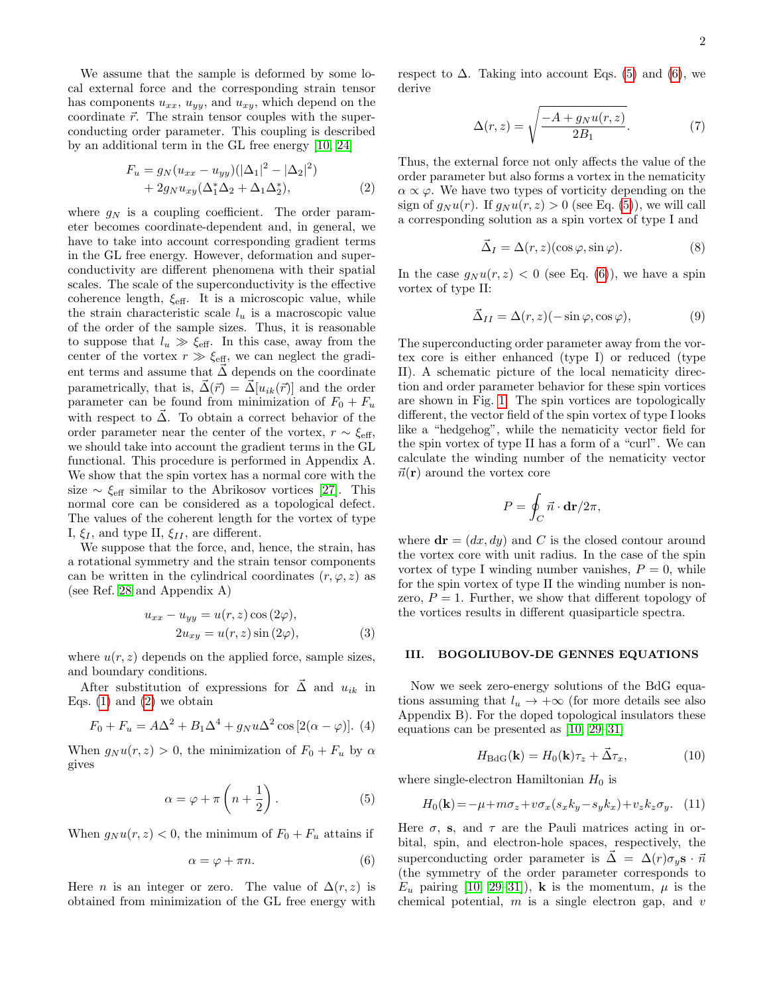We assume that the sample is deformed by some local external force and the corresponding strain tensor has components  $u_{xx}$ ,  $u_{yy}$ , and  $u_{xy}$ , which depend on the coordinate  $\vec{r}$ . The strain tensor couples with the superconducting order parameter. This coupling is described by an additional term in the GL free energy [\[10,](#page-7-2) [24\]](#page-7-14)

<span id="page-1-0"></span>
$$
F_u = g_N (u_{xx} - u_{yy}) (|\Delta_1|^2 - |\Delta_2|^2) + 2g_N u_{xy} (\Delta_1^* \Delta_2 + \Delta_1 \Delta_2^*),
$$
 (2)

where  $g_N$  is a coupling coefficient. The order parameter becomes coordinate-dependent and, in general, we have to take into account corresponding gradient terms in the GL free energy. However, deformation and superconductivity are different phenomena with their spatial scales. The scale of the superconductivity is the effective coherence length,  $\xi_{\text{eff}}$ . It is a microscopic value, while the strain characteristic scale  $l_u$  is a macroscopic value of the order of the sample sizes. Thus, it is reasonable to suppose that  $l_u \gg \xi_{\text{eff}}$ . In this case, away from the center of the vortex  $r \gg \xi_{\text{eff}}$ , we can neglect the gradient terms and assume that  $\vec{\Delta}$  depends on the coordinate parametrically, that is,  $\vec{\Delta}(\vec{r}) = \vec{\Delta} [ u_{ik}(\vec{r}) ]$  and the order parameter can be found from minimization of  $F_0 + F_u$ with respect to  $\vec{\Delta}$ . To obtain a correct behavior of the order parameter near the center of the vortex,  $r \sim \xi_{\text{eff}}$ , we should take into account the gradient terms in the GL functional. This procedure is performed in Appendix A. We show that the spin vortex has a normal core with the size  $\sim \xi_{\text{eff}}$  similar to the Abrikosov vortices [\[27\]](#page-7-18). This normal core can be considered as a topological defect. The values of the coherent length for the vortex of type I,  $\xi_I$ , and type II,  $\xi_{II}$ , are different.

We suppose that the force, and, hence, the strain, has a rotational symmetry and the strain tensor components can be written in the cylindrical coordinates  $(r, \varphi, z)$  as (see Ref. [28](#page-7-19) and Appendix A)

$$
u_{xx} - u_{yy} = u(r, z) \cos(2\varphi),
$$
  

$$
2u_{xy} = u(r, z) \sin(2\varphi),
$$
 (3)

where  $u(r, z)$  depends on the applied force, sample sizes, and boundary conditions.

After substitution of expressions for  $\vec{\Delta}$  and  $u_{ik}$  in Eqs.  $(1)$  and  $(2)$  we obtain

$$
F_0 + F_u = A\Delta^2 + B_1\Delta^4 + g_N u \Delta^2 \cos [2(\alpha - \varphi)].
$$
 (4)

When  $g_N u(r, z) > 0$ , the minimization of  $F_0 + F_u$  by  $\alpha$ gives

<span id="page-1-1"></span>
$$
\alpha = \varphi + \pi \left( n + \frac{1}{2} \right). \tag{5}
$$

When  $g_N u(r, z) < 0$ , the minimum of  $F_0 + F_u$  attains if

<span id="page-1-2"></span>
$$
\alpha = \varphi + \pi n. \tag{6}
$$

Here *n* is an integer or zero. The value of  $\Delta(r, z)$  is obtained from minimization of the GL free energy with respect to  $\Delta$ . Taking into account Eqs. [\(5\)](#page-1-1) and [\(6\)](#page-1-2), we derive

$$
\Delta(r,z) = \sqrt{\frac{-A + g_N u(r,z)}{2B_1}}.\tag{7}
$$

Thus, the external force not only affects the value of the order parameter but also forms a vortex in the nematicity  $\alpha \propto \varphi$ . We have two types of vorticity depending on the sign of  $q_N u(r)$ . If  $q_N u(r, z) > 0$  (see Eq. [\(5\)](#page-1-1)), we will call a corresponding solution as a spin vortex of type I and

<span id="page-1-3"></span>
$$
\vec{\Delta}_I = \Delta(r, z)(\cos \varphi, \sin \varphi). \tag{8}
$$

In the case  $g_N u(r, z) < 0$  (see Eq. [\(6\)](#page-1-2)), we have a spin vortex of type II:

<span id="page-1-4"></span>
$$
\vec{\Delta}_{II} = \Delta(r, z)(-\sin \varphi, \cos \varphi),\tag{9}
$$

The superconducting order parameter away from the vortex core is either enhanced (type I) or reduced (type II). A schematic picture of the local nematicity direction and order parameter behavior for these spin vortices are shown in Fig. [1.](#page-2-0) The spin vortices are topologically different, the vector field of the spin vortex of type I looks like a "hedgehog", while the nematicity vector field for the spin vortex of type II has a form of a "curl". We can calculate the winding number of the nematicity vector  $\vec{n}(\mathbf{r})$  around the vortex core

$$
P = \oint_C \vec{n} \cdot \mathbf{dr} / 2\pi,
$$

where  $\mathbf{dr} = (dx, dy)$  and C is the closed contour around the vortex core with unit radius. In the case of the spin vortex of type I winding number vanishes,  $P = 0$ , while for the spin vortex of type II the winding number is nonzero,  $P = 1$ . Further, we show that different topology of the vortices results in different quasiparticle spectra.

### <span id="page-1-7"></span>III. BOGOLIUBOV-DE GENNES EQUATIONS

Now we seek zero-energy solutions of the BdG equations assuming that  $l_u \rightarrow +\infty$  (for more details see also Appendix B). For the doped topological insulators these equations can be presented as [\[10,](#page-7-2) [29–](#page-7-20)[31\]](#page-7-21)

<span id="page-1-6"></span>
$$
H_{\text{BdG}}(\mathbf{k}) = H_0(\mathbf{k})\tau_z + \vec{\Delta}\tau_x,\tag{10}
$$

where single-electron Hamiltonian  $H_0$  is

<span id="page-1-5"></span>
$$
H_0(\mathbf{k}) = -\mu + m\sigma_z + v\sigma_x(s_x k_y - s_y k_x) + v_z k_z \sigma_y. \quad (11)
$$

Here  $\sigma$ , s, and  $\tau$  are the Pauli matrices acting in orbital, spin, and electron-hole spaces, respectively, the superconducting order parameter is  $\vec{\Delta} = \Delta(r)\sigma_{u}\mathbf{s} \cdot \vec{n}$ (the symmetry of the order parameter corresponds to  $E_u$  pairing [\[10,](#page-7-2) [29–](#page-7-20)[31\]](#page-7-21)), **k** is the momentum,  $\mu$  is the chemical potential,  $m$  is a single electron gap, and  $v$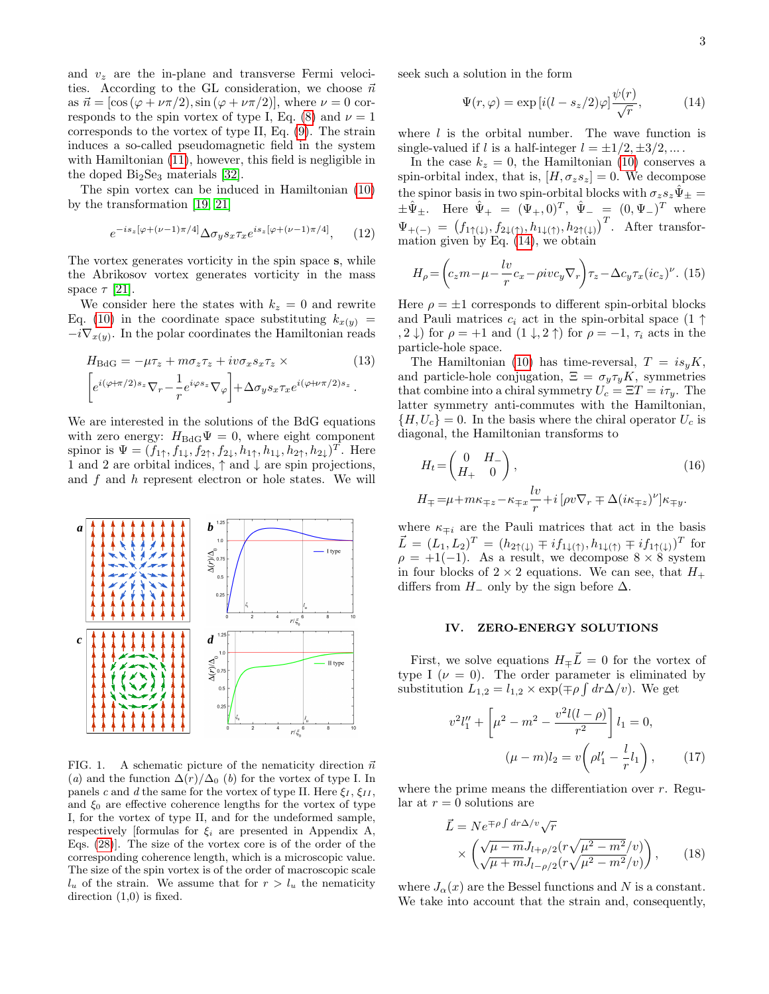and  $v_z$  are the in-plane and transverse Fermi velocities. According to the GL consideration, we choose  $\vec{n}$ as  $\vec{n} = [\cos (\varphi + \nu \pi/2), \sin (\varphi + \nu \pi/2)]$ , where  $\nu = 0$  cor-responds to the spin vortex of type I, Eq. [\(8\)](#page-1-3) and  $\nu = 1$ corresponds to the vortex of type II, Eq. [\(9\)](#page-1-4). The strain induces a so-called pseudomagnetic field in the system with Hamiltonian [\(11\)](#page-1-5), however, this field is negligible in the doped  $Bi<sub>2</sub>Se<sub>3</sub>$  materials [\[32\]](#page-7-22).

The spin vortex can be induced in Hamiltonian [\(10\)](#page-1-6) by the transformation [\[19,](#page-7-9) [21\]](#page-7-11)

$$
e^{-is_z[\varphi+(\nu-1)\pi/4]}\Delta\sigma_y s_x \tau_x e^{is_z[\varphi+(\nu-1)\pi/4]},\qquad(12)
$$

The vortex generates vorticity in the spin space s, while the Abrikosov vortex generates vorticity in the mass space  $\tau$  [\[21\]](#page-7-11).

We consider here the states with  $k_z = 0$  and rewrite Eq. [\(10\)](#page-1-6) in the coordinate space substituting  $k_{x(y)} =$  $-i\nabla_{x(y)}$ . In the polar coordinates the Hamiltonian reads

<span id="page-2-4"></span>
$$
H_{\text{BdG}} = -\mu \tau_z + m \sigma_z \tau_z + i v \sigma_x s_x \tau_z \times \qquad (13)
$$

$$
\left[ e^{i(\varphi + \pi/2)s_z} \nabla_r - \frac{1}{r} e^{i\varphi s_z} \nabla_\varphi \right] + \Delta \sigma_y s_x \tau_x e^{i(\varphi + \nu \pi/2)s_z}.
$$

We are interested in the solutions of the BdG equations with zero energy:  $H_{\text{BdG}}\Psi = 0$ , where eight component spinor is  $\Psi = (f_{1\uparrow}, f_{1\downarrow}, f_{2\uparrow}, f_{2\downarrow}, h_{1\uparrow}, h_{1\downarrow}, h_{2\uparrow}, h_{2\downarrow})^T$ . Here 1 and 2 are orbital indices,  $\uparrow$  and  $\downarrow$  are spin projections, and f and h represent electron or hole states. We will



<span id="page-2-0"></span>FIG. 1. A schematic picture of the nematicity direction  $\vec{n}$ (a) and the function  $\Delta(r)/\Delta_0$  (b) for the vortex of type I. In panels c and d the same for the vortex of type II. Here  $\xi_I$ ,  $\xi_{II}$ , and  $\xi_0$  are effective coherence lengths for the vortex of type I, for the vortex of type II, and for the undeformed sample, respectively [formulas for  $\xi_i$  are presented in Appendix A, Eqs. [\(28\)](#page-5-0)]. The size of the vortex core is of the order of the corresponding coherence length, which is a microscopic value. The size of the spin vortex is of the order of macroscopic scale  $l_u$  of the strain. We assume that for  $r > l_u$  the nematicity direction  $(1,0)$  is fixed.

seek such a solution in the form

<span id="page-2-1"></span>
$$
\Psi(r,\varphi) = \exp\left[i(l - s_z/2)\varphi\right]\frac{\psi(r)}{\sqrt{r}},\tag{14}
$$

where  $l$  is the orbital number. The wave function is single-valued if l is a half-integer  $l = \pm 1/2, \pm 3/2, \dots$ .

In the case  $k_z = 0$ , the Hamiltonian [\(10\)](#page-1-6) conserves a spin-orbital index, that is,  $[H, \sigma_z s_z] = 0$ . We decompose the spinor basis in two spin-orbital blocks with  $\sigma_z s_z \hat{\Psi}_{\pm} =$  $\pm \hat{\Psi}_{\pm}$ . Here  $\hat{\Psi}_{+} = (\Psi_{+}, 0)^{T}$ ,  $\hat{\Psi}_{-} = (0, \Psi_{-})^{T}$  where  $\Psi_{+(-)} = (f_{1\uparrow(\downarrow)}, f_{2\downarrow(\uparrow)}, h_{1\downarrow(\uparrow)}, h_{2\uparrow(\downarrow)})^T$ . After transformation given by Eq. [\(14\)](#page-2-1), we obtain

<span id="page-2-5"></span>
$$
H_{\rho} = \left(c_z m - \mu - \frac{lv}{r}c_x - \rho iv c_y \nabla_r\right) \tau_z - \Delta c_y \tau_x (ic_z)^{\nu}.
$$
 (15)

Here  $\rho = \pm 1$  corresponds to different spin-orbital blocks and Pauli matrices  $c_i$  act in the spin-orbital space  $(1 \uparrow)$ , 2 ↓) for  $\rho = +1$  and  $(1 \downarrow, 2 \uparrow)$  for  $\rho = -1$ ,  $\tau_i$  acts in the particle-hole space.

The Hamiltonian [\(10\)](#page-1-6) has time-reversal,  $T = i s_y K$ , and particle-hole conjugation,  $\Xi = \sigma_y \tau_y K$ , symmetries that combine into a chiral symmetry  $U_c = \Xi T = i \tau_y$ . The latter symmetry anti-commutes with the Hamiltonian,  ${H, U_c} = 0$ . In the basis where the chiral operator  $U_c$  is diagonal, the Hamiltonian transforms to

<span id="page-2-6"></span>
$$
H_t = \begin{pmatrix} 0 & H_- \\ H_+ & 0 \end{pmatrix},
$$
  
\n
$$
H_{\mp} = \mu + m\kappa_{\mp z} - \kappa_{\mp x} \frac{lv}{r} + i \left[ \rho v \nabla_r \mp \Delta (i\kappa_{\mp z})^{\nu} \right] \kappa_{\mp y}.
$$
\n(16)

where  $\kappa_{\pm i}$  are the Pauli matrices that act in the basis  $\vec{L} = (L_1, L_2)^T = (h_{2\uparrow(\downarrow)} \mp i f_{1\downarrow(\uparrow)}, h_{1\downarrow(\uparrow)} \mp i f_{1\uparrow(\downarrow)})^T$  for  $\rho = +1(-1)$ . As a result, we decompose 8 × 8 system in four blocks of  $2 \times 2$  equations. We can see, that  $H_+$ differs from  $H_-\,$  only by the sign before  $\Delta$ .

## <span id="page-2-3"></span>IV. ZERO-ENERGY SOLUTIONS

First, we solve equations  $H_{\pm}\bar{L}=0$  for the vortex of type I ( $\nu = 0$ ). The order parameter is eliminated by substitution  $L_{1,2} = l_{1,2} \times \exp(\mp \rho \int dr \Delta/v)$ . We get

$$
v^{2}l_{1}'' + \left[\mu^{2} - m^{2} - \frac{v^{2}l(l-\rho)}{r^{2}}\right]l_{1} = 0,
$$
  

$$
(\mu - m)l_{2} = v\left(\rho l_{1}' - \frac{l}{r}l_{1}\right), \qquad (17)
$$

where the prime means the differentiation over  $r$ . Regular at  $r = 0$  solutions are

<span id="page-2-2"></span>
$$
\vec{L} = N e^{\mp \rho \int dr \Delta/v} \sqrt{r}
$$
  
 
$$
\times \left( \frac{\sqrt{\mu - m} J_{l+\rho/2} (r \sqrt{\mu^2 - m^2}/v)}{\sqrt{\mu + m} J_{l-\rho/2} (r \sqrt{\mu^2 - m^2}/v)} \right), \qquad (18)
$$

where  $J_{\alpha}(x)$  are the Bessel functions and N is a constant. We take into account that the strain and, consequently,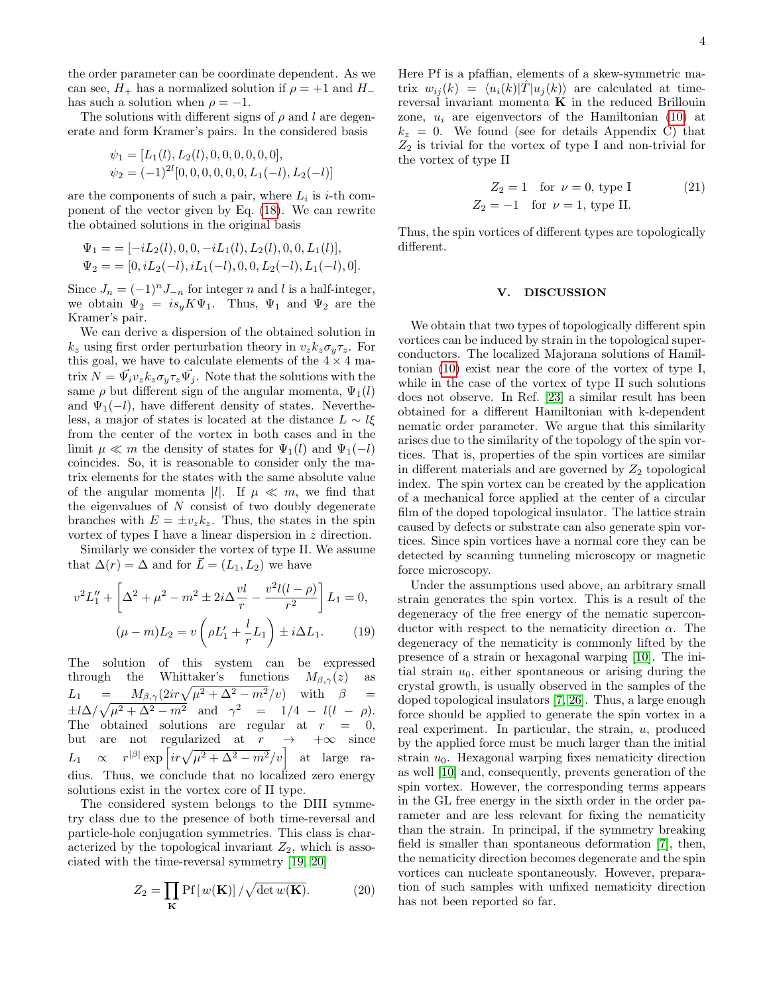the order parameter can be coordinate dependent. As we can see,  $H_+$  has a normalized solution if  $\rho = +1$  and  $H_$ has such a solution when  $\rho = -1$ .

The solutions with different signs of  $\rho$  and l are degenerate and form Kramer's pairs. In the considered basis

$$
\psi_1 = [L_1(l), L_2(l), 0, 0, 0, 0, 0, 0],
$$
  

$$
\psi_2 = (-1)^{2l} [0, 0, 0, 0, 0, 0, L_1(-l), L_2(-l)]
$$

are the components of such a pair, where  $L_i$  is *i*-th component of the vector given by Eq. [\(18\)](#page-2-2). We can rewrite the obtained solutions in the original basis

$$
\Psi_1 = \begin{aligned} & \Psi_1 = \begin{bmatrix} -iL_2(l), 0, 0, -iL_1(l), L_2(l), 0, 0, L_1(l) \end{bmatrix}, \\ & \Psi_2 = \begin{bmatrix} 0, iL_2(-l), iL_1(-l), 0, 0, L_2(-l), L_1(-l), 0 \end{bmatrix}. \end{aligned}
$$

Since  $J_n = (-1)^n J_{-n}$  for integer n and l is a half-integer, we obtain  $\Psi_2 = i s_y K \Psi_1$ . Thus,  $\Psi_1$  and  $\Psi_2$  are the Kramer's pair.

We can derive a dispersion of the obtained solution in  $k_z$  using first order perturbation theory in  $v_z k_z \sigma_y \tau_z$ . For this goal, we have to calculate elements of the  $4\times 4$  matrix  $N = \vec{\Psi}_i v_z k_z \sigma_y \tau_z \vec{\Psi}_j$ . Note that the solutions with the same  $\rho$  but different sign of the angular momenta,  $\Psi_1(l)$ and  $\Psi_1(-l)$ , have different density of states. Nevertheless, a major of states is located at the distance  $L \sim l\xi$ from the center of the vortex in both cases and in the limit  $\mu \ll m$  the density of states for  $\Psi_1(l)$  and  $\Psi_1(-l)$ coincides. So, it is reasonable to consider only the matrix elements for the states with the same absolute value of the angular momenta |l|. If  $\mu \ll m$ , we find that the eigenvalues of  $N$  consist of two doubly degenerate branches with  $E = \pm v_z k_z$ . Thus, the states in the spin vortex of types I have a linear dispersion in z direction.

Similarly we consider the vortex of type II. We assume that  $\Delta(r) = \Delta$  and for  $\vec{L} = (L_1, L_2)$  we have

$$
v^{2}L_{1}'' + \left[\Delta^{2} + \mu^{2} - m^{2} \pm 2i\Delta \frac{vl}{r} - \frac{v^{2}l(l-\rho)}{r^{2}}\right]L_{1} = 0,
$$
  

$$
(\mu - m)L_{2} = v\left(\rho L_{1}' + \frac{l}{r}L_{1}\right) \pm i\Delta L_{1}.
$$
 (19)

The solution of this system can be expressed through the Whittaker's functions  $M_{\beta,\gamma}(z)$  as  $L_1 = M_{\beta,\gamma} (2ir\sqrt{\mu^2 + \Delta^2 - m^2}/v)$  with  $\beta =$  $\pm l\Delta/\sqrt{\mu^2 + \Delta^2 - m^2}$  and  $\gamma^2 = 1/4 - l(l - \rho)$ . The obtained solutions are regular at  $r = 0$ , but are not regularized at  $r \rightarrow +\infty$  since  $L_1 \propto r^{|\beta|} \exp\left[ir\sqrt{\mu^2 + \Delta^2 - m^2}/v\right]$  at large radius. Thus, we conclude that no localized zero energy solutions exist in the vortex core of II type.

The considered system belongs to the DIII symmetry class due to the presence of both time-reversal and particle-hole conjugation symmetries. This class is characterized by the topological invariant  $Z_2$ , which is associated with the time-reversal symmetry [\[19,](#page-7-9) [20\]](#page-7-10)

<span id="page-3-0"></span>
$$
Z_2 = \prod_{\mathbf{K}} \text{Pf}[w(\mathbf{K})] / \sqrt{\det w(\mathbf{K})}.
$$
 (20)

Here Pf is a pfaffian, elements of a skew-symmetric matrix  $w_{ij}(k) = \langle u_i(k)|T|u_j(k)\rangle$  are calculated at timereversal invariant momenta  $K$  in the reduced Brillouin zone,  $u_i$  are eigenvectors of the Hamiltonian [\(10\)](#page-1-6) at  $k_z = 0$ . We found (see for details Appendix C) that  $Z_2$  is trivial for the vortex of type I and non-trivial for the vortex of type II

$$
Z_2 = 1
$$
 for  $\nu = 0$ , type I  
 $Z_2 = -1$  for  $\nu = 1$ , type II. (21)

Thus, the spin vortices of different types are topologically different.

### V. DISCUSSION

We obtain that two types of topologically different spin vortices can be induced by strain in the topological superconductors. The localized Majorana solutions of Hamiltonian [\(10\)](#page-1-6) exist near the core of the vortex of type I, while in the case of the vortex of type II such solutions does not observe. In Ref. [\[23\]](#page-7-13) a similar result has been obtained for a different Hamiltonian with k-dependent nematic order parameter. We argue that this similarity arises due to the similarity of the topology of the spin vortices. That is, properties of the spin vortices are similar in different materials and are governed by  $Z_2$  topological index. The spin vortex can be created by the application of a mechanical force applied at the center of a circular film of the doped topological insulator. The lattice strain caused by defects or substrate can also generate spin vortices. Since spin vortices have a normal core they can be detected by scanning tunneling microscopy or magnetic force microscopy.

Under the assumptions used above, an arbitrary small strain generates the spin vortex. This is a result of the degeneracy of the free energy of the nematic superconductor with respect to the nematicity direction  $\alpha$ . The degeneracy of the nematicity is commonly lifted by the presence of a strain or hexagonal warping [\[10\]](#page-7-2). The initial strain  $u_0$ , either spontaneous or arising during the crystal growth, is usually observed in the samples of the doped topological insulators [\[7,](#page-7-17) [26\]](#page-7-16). Thus, a large enough force should be applied to generate the spin vortex in a real experiment. In particular, the strain,  $u$ , produced by the applied force must be much larger than the initial strain  $u_0$ . Hexagonal warping fixes nematicity direction as well [\[10\]](#page-7-2) and, consequently, prevents generation of the spin vortex. However, the corresponding terms appears in the GL free energy in the sixth order in the order parameter and are less relevant for fixing the nematicity than the strain. In principal, if the symmetry breaking field is smaller than spontaneous deformation [\[7\]](#page-7-17), then, the nematicity direction becomes degenerate and the spin vortices can nucleate spontaneously. However, preparation of such samples with unfixed nematicity direction has not been reported so far.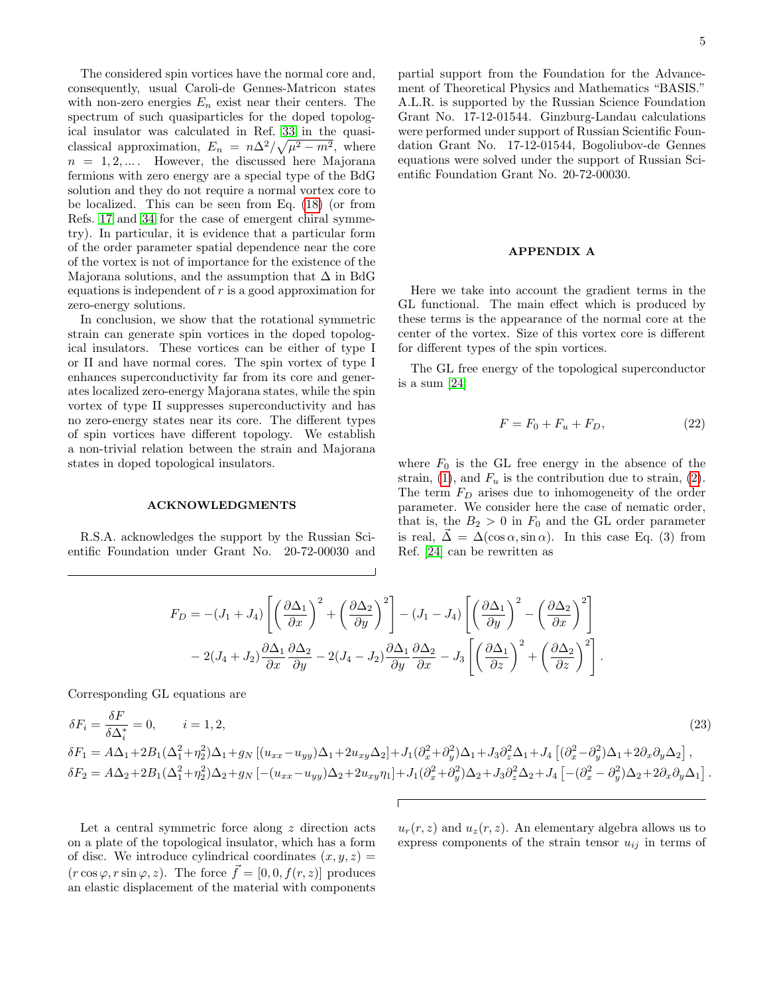The considered spin vortices have the normal core and, consequently, usual Caroli-de Gennes-Matricon states with non-zero energies  $E_n$  exist near their centers. The spectrum of such quasiparticles for the doped topological insulator was calculated in Ref. [33](#page-7-23) in the quasiclassical approximation,  $E_n = n\Delta^2/\sqrt{\mu^2 - m^2}$ , where  $n = 1, 2, \ldots$  However, the discussed here Majorana fermions with zero energy are a special type of the BdG solution and they do not require a normal vortex core to be localized. This can be seen from Eq. [\(18\)](#page-2-2) (or from Refs. [17](#page-7-24) and [34](#page-7-25) for the case of emergent chiral symmetry). In particular, it is evidence that a particular form of the order parameter spatial dependence near the core of the vortex is not of importance for the existence of the Majorana solutions, and the assumption that  $\Delta$  in BdG equations is independent of  $r$  is a good approximation for zero-energy solutions.

In conclusion, we show that the rotational symmetric strain can generate spin vortices in the doped topological insulators. These vortices can be either of type I or II and have normal cores. The spin vortex of type I enhances superconductivity far from its core and generates localized zero-energy Majorana states, while the spin vortex of type II suppresses superconductivity and has no zero-energy states near its core. The different types of spin vortices have different topology. We establish a non-trivial relation between the strain and Majorana states in doped topological insulators.

### ACKNOWLEDGMENTS

R.S.A. acknowledges the support by the Russian Scientific Foundation under Grant No. 20-72-00030 and partial support from the Foundation for the Advancement of Theoretical Physics and Mathematics "BASIS." A.L.R. is supported by the Russian Science Foundation Grant No. 17-12-01544. Ginzburg-Landau calculations were performed under support of Russian Scientific Foundation Grant No. 17-12-01544, Bogoliubov-de Gennes equations were solved under the support of Russian Scientific Foundation Grant No. 20-72-00030.

#### APPENDIX A

Here we take into account the gradient terms in the GL functional. The main effect which is produced by these terms is the appearance of the normal core at the center of the vortex. Size of this vortex core is different for different types of the spin vortices.

The GL free energy of the topological superconductor is a sum [\[24\]](#page-7-14)

$$
F = F_0 + F_u + F_D,\t\t(22)
$$

where  $F_0$  is the GL free energy in the absence of the strain, [\(1\)](#page-0-0), and  $F_u$  is the contribution due to strain, [\(2\)](#page-1-0). The term  $F_D$  arises due to inhomogeneity of the order parameter. We consider here the case of nematic order, that is, the  $B_2 > 0$  in  $F_0$  and the GL order parameter is real,  $\vec{\Delta} = \Delta(\cos \alpha, \sin \alpha)$ . In this case Eq. (3) from Ref. [\[24\]](#page-7-14) can be rewritten as

$$
F_D = -(J_1 + J_4) \left[ \left( \frac{\partial \Delta_1}{\partial x} \right)^2 + \left( \frac{\partial \Delta_2}{\partial y} \right)^2 \right] - (J_1 - J_4) \left[ \left( \frac{\partial \Delta_1}{\partial y} \right)^2 - \left( \frac{\partial \Delta_2}{\partial x} \right)^2 \right] - 2(J_4 + J_2) \frac{\partial \Delta_1}{\partial x} \frac{\partial \Delta_2}{\partial y} - 2(J_4 - J_2) \frac{\partial \Delta_1}{\partial y} \frac{\partial \Delta_2}{\partial x} - J_3 \left[ \left( \frac{\partial \Delta_1}{\partial z} \right)^2 + \left( \frac{\partial \Delta_2}{\partial z} \right)^2 \right].
$$

Corresponding GL equations are

<span id="page-4-0"></span>
$$
\delta F_{i} = \frac{\delta F}{\delta \Delta_{i}^{*}} = 0, \qquad i = 1, 2,
$$
\n
$$
\delta F_{1} = A\Delta_{1} + 2B_{1}(\Delta_{1}^{2} + \eta_{2}^{2})\Delta_{1} + g_{N} \left[ (u_{xx} - u_{yy})\Delta_{1} + 2u_{xy}\Delta_{2} \right] + J_{1}(\partial_{x}^{2} + \partial_{y}^{2})\Delta_{1} + J_{3}\partial_{z}^{2}\Delta_{1} + J_{4} \left[ (\partial_{x}^{2} - \partial_{y}^{2})\Delta_{1} + 2\partial_{x}\partial_{y}\Delta_{2} \right],
$$
\n
$$
\delta F_{2} = A\Delta_{2} + 2B_{1}(\Delta_{1}^{2} + \eta_{2}^{2})\Delta_{2} + g_{N} \left[ -(u_{xx} - u_{yy})\Delta_{2} + 2u_{xy}\eta_{1} \right] + J_{1}(\partial_{x}^{2} + \partial_{y}^{2})\Delta_{2} + J_{3}\partial_{z}^{2}\Delta_{2} + J_{4} \left[ -(\partial_{x}^{2} - \partial_{y}^{2})\Delta_{2} + 2\partial_{x}\partial_{y}\Delta_{1} \right].
$$
\n(23)

Let a central symmetric force along z direction acts on a plate of the topological insulator, which has a form of disc. We introduce cylindrical coordinates  $(x, y, z) =$  $(r \cos \varphi, r \sin \varphi, z)$ . The force  $\vec{f} = [0, 0, f(r, z)]$  produces an elastic displacement of the material with components

 $u_r(r, z)$  and  $u_z(r, z)$ . An elementary algebra allows us to express components of the strain tensor  $u_{ij}$  in terms of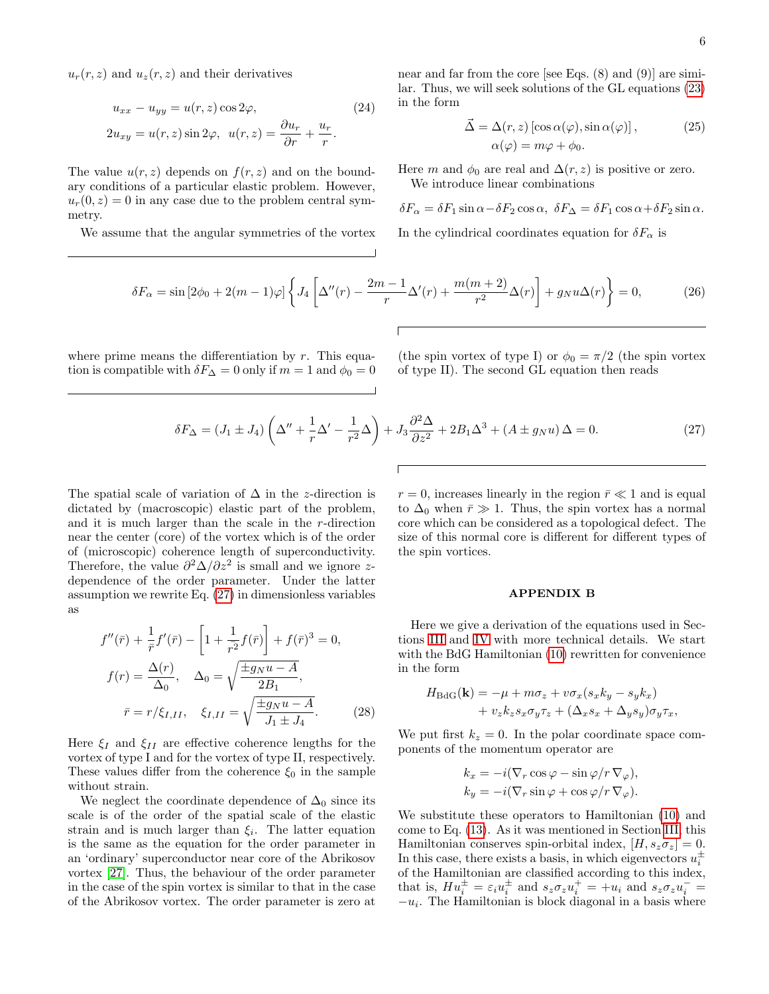$u_r(r, z)$  and  $u_z(r, z)$  and their derivatives

$$
u_{xx} - u_{yy} = u(r, z) \cos 2\varphi,
$$
  
\n
$$
2u_{xy} = u(r, z) \sin 2\varphi, \quad u(r, z) = \frac{\partial u_r}{\partial r} + \frac{u_r}{r}.
$$
\n(24)

The value  $u(r, z)$  depends on  $f(r, z)$  and on the boundary conditions of a particular elastic problem. However,  $u_r(0, z) = 0$  in any case due to the problem central symmetry.

We assume that the angular symmetries of the vortex

near and far from the core [see Eqs. (8) and (9)] are similar. Thus, we will seek solutions of the GL equations [\(23\)](#page-4-0) in the form

$$
\vec{\Delta} = \Delta(r, z) [\cos \alpha(\varphi), \sin \alpha(\varphi)],
$$
  
\n
$$
\alpha(\varphi) = m\varphi + \phi_0.
$$
\n(25)

Here m and  $\phi_0$  are real and  $\Delta(r, z)$  is positive or zero. We introduce linear combinations

$$
\delta F_{\alpha} = \delta F_1 \sin \alpha - \delta F_2 \cos \alpha, \ \delta F_{\Delta} = \delta F_1 \cos \alpha + \delta F_2 \sin \alpha.
$$

In the cylindrical coordinates equation for  $\delta F_{\alpha}$  is

$$
\delta F_{\alpha} = \sin \left[ 2\phi_0 + 2(m-1)\varphi \right] \left\{ J_4 \left[ \Delta''(r) - \frac{2m-1}{r} \Delta'(r) + \frac{m(m+2)}{r^2} \Delta(r) \right] + g_N u \Delta(r) \right\} = 0, \tag{26}
$$

where prime means the differentiation by  $r$ . This equation is compatible with  $\delta F_{\Delta} = 0$  only if  $m = 1$  and  $\phi_0 = 0$  (the spin vortex of type I) or  $\phi_0 = \pi/2$  (the spin vortex of type II). The second GL equation then reads

<span id="page-5-1"></span>
$$
\delta F_{\Delta} = (J_1 \pm J_4) \left( \Delta'' + \frac{1}{r} \Delta' - \frac{1}{r^2} \Delta \right) + J_3 \frac{\partial^2 \Delta}{\partial z^2} + 2B_1 \Delta^3 + (A \pm g_N u) \Delta = 0. \tag{27}
$$

The spatial scale of variation of  $\Delta$  in the z-direction is dictated by (macroscopic) elastic part of the problem, and it is much larger than the scale in the r-direction near the center (core) of the vortex which is of the order of (microscopic) coherence length of superconductivity. Therefore, the value  $\partial^2 \Delta / \partial z^2$  is small and we ignore zdependence of the order parameter. Under the latter assumption we rewrite Eq. [\(27\)](#page-5-1) in dimensionless variables as

<span id="page-5-0"></span>
$$
f''(\bar{r}) + \frac{1}{\bar{r}}f'(\bar{r}) - \left[1 + \frac{1}{r^2}f(\bar{r})\right] + f(\bar{r})^3 = 0,
$$
  

$$
f(r) = \frac{\Delta(r)}{\Delta_0}, \quad \Delta_0 = \sqrt{\frac{\pm g_N u - A}{2B_1}},
$$
  

$$
\bar{r} = r/\xi_{I,II}, \quad \xi_{I,II} = \sqrt{\frac{\pm g_N u - A}{J_1 \pm J_4}}.
$$
(28)

Here  $\xi_I$  and  $\xi_{II}$  are effective coherence lengths for the vortex of type I and for the vortex of type II, respectively. These values differ from the coherence  $\xi_0$  in the sample without strain.

We neglect the coordinate dependence of  $\Delta_0$  since its scale is of the order of the spatial scale of the elastic strain and is much larger than  $\xi_i$ . The latter equation is the same as the equation for the order parameter in an 'ordinary' superconductor near core of the Abrikosov vortex [\[27\]](#page-7-18). Thus, the behaviour of the order parameter in the case of the spin vortex is similar to that in the case of the Abrikosov vortex. The order parameter is zero at

 $r = 0$ , increases linearly in the region  $\bar{r} \ll 1$  and is equal to  $\Delta_0$  when  $\bar{r} \gg 1$ . Thus, the spin vortex has a normal core which can be considered as a topological defect. The size of this normal core is different for different types of the spin vortices.

### APPENDIX B

Here we give a derivation of the equations used in Sections [III](#page-1-7) and [IV](#page-2-3) with more technical details. We start with the BdG Hamiltonian [\(10\)](#page-1-6) rewritten for convenience in the form

$$
H_{\text{BdG}}(\mathbf{k}) = -\mu + m\sigma_z + v\sigma_x(s_x k_y - s_y k_x)
$$
  
+  $v_z k_z s_x \sigma_y \tau_z + (\Delta_x s_x + \Delta_y s_y) \sigma_y \tau_x,$ 

We put first  $k_z = 0$ . In the polar coordinate space components of the momentum operator are

$$
k_x = -i(\nabla_r \cos \varphi - \sin \varphi / r \nabla_{\varphi}),
$$
  
\n
$$
k_y = -i(\nabla_r \sin \varphi + \cos \varphi / r \nabla_{\varphi}).
$$

We substitute these operators to Hamiltonian [\(10\)](#page-1-6) and come to Eq. [\(13\)](#page-2-4). As it was mentioned in Section [III,](#page-1-7) this Hamiltonian conserves spin-orbital index,  $[H, s_z \sigma_z] = 0$ . In this case, there exists a basis, in which eigenvectors  $u_i^{\pm}$ of the Hamiltonian are classified according to this index, that is,  $Hu_i^{\pm} = \varepsilon_i u_i^{\pm}$  and  $s_z \sigma_z u_i^{\pm} = +u_i$  and  $s_z \sigma_z u_i^{\pm} =$  $-u_i$ . The Hamiltonian is block diagonal in a basis where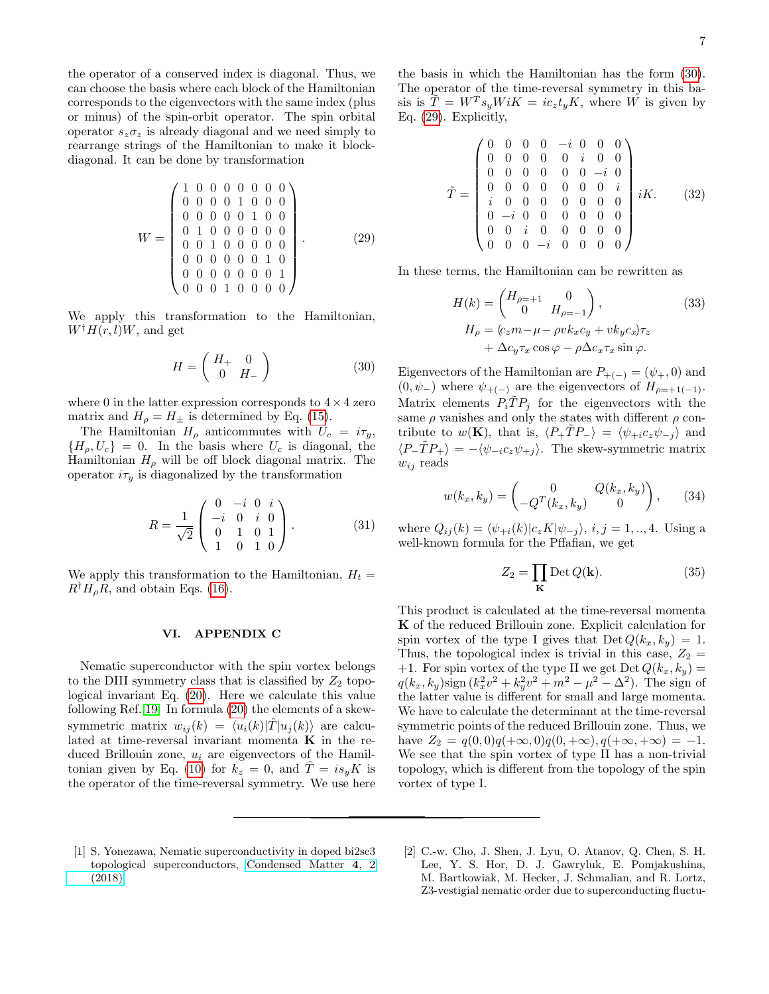the operator of a conserved index is diagonal. Thus, we can choose the basis where each block of the Hamiltonian corresponds to the eigenvectors with the same index (plus or minus) of the spin-orbit operator. The spin orbital operator  $s_z \sigma_z$  is already diagonal and we need simply to rearrange strings of the Hamiltonian to make it blockdiagonal. It can be done by transformation

<span id="page-6-2"></span>
$$
W = \begin{pmatrix} 1 & 0 & 0 & 0 & 0 & 0 & 0 & 0 \\ 0 & 0 & 0 & 0 & 1 & 0 & 0 & 0 \\ 0 & 0 & 0 & 0 & 0 & 1 & 0 & 0 \\ 0 & 1 & 0 & 0 & 0 & 0 & 0 & 0 \\ 0 & 0 & 1 & 0 & 0 & 0 & 0 & 0 \\ 0 & 0 & 0 & 0 & 0 & 0 & 1 & 0 \\ 0 & 0 & 0 & 0 & 0 & 0 & 0 & 1 \\ 0 & 0 & 0 & 1 & 0 & 0 & 0 & 0 \end{pmatrix} .
$$
 (29)

We apply this transformation to the Hamiltonian,  $W^{\dagger}H(r, l)W$ , and get

<span id="page-6-1"></span>
$$
H = \left(\begin{array}{cc} H_+ & 0\\ 0 & H_- \end{array}\right) \tag{30}
$$

where 0 in the latter expression corresponds to  $4 \times 4$  zero matrix and  $H_{\rho} = H_{\pm}$  is determined by Eq. [\(15\)](#page-2-5).

The Hamiltonian  $H_{\rho}$  anticommutes with  $U_c = i\tau_y$ ,  ${H<sub>o</sub>, U<sub>c</sub>} = 0$ . In the basis where  $U<sub>c</sub>$  is diagonal, the Hamiltonian  $H_{\rho}$  will be off block diagonal matrix. The operator  $i\tau_y$  is diagonalized by the transformation

$$
R = \frac{1}{\sqrt{2}} \begin{pmatrix} 0 & -i & 0 & i \\ -i & 0 & i & 0 \\ 0 & 1 & 0 & 1 \\ 1 & 0 & 1 & 0 \end{pmatrix}.
$$
 (31)

We apply this transformation to the Hamiltonian,  $H_t =$  $R^{\dagger}H_{\rho}R$ , and obtain Eqs. [\(16\)](#page-2-6).

### VI. APPENDIX C

Nematic superconductor with the spin vortex belongs to the DIII symmetry class that is classified by  $Z_2$  topological invariant Eq. [\(20\)](#page-3-0). Here we calculate this value following Ref. [19.](#page-7-9) In formula [\(20\)](#page-3-0) the elements of a skewsymmetric matrix  $w_{ij}(k) = \langle u_i(k)|T|u_j(k)\rangle$  are calculated at time-reversal invariant momenta  $K$  in the reduced Brillouin zone,  $u_i$  are eigenvectors of the Hamil-tonian given by Eq. [\(10\)](#page-1-6) for  $k_z = 0$ , and  $\hat{T} = i s_y K$  is the operator of the time-reversal symmetry. We use here the basis in which the Hamiltonian has the form [\(30\)](#page-6-1). The operator of the time-reversal symmetry in this basis is  $\tilde{T} = W^T s_y W iK = i c_z t_y K$ , where W is given by Eq. [\(29\)](#page-6-2). Explicitly,

$$
\tilde{T} = \begin{pmatrix}\n0 & 0 & 0 & 0 & -i & 0 & 0 & 0 \\
0 & 0 & 0 & 0 & 0 & i & 0 & 0 \\
0 & 0 & 0 & 0 & 0 & 0 & -i & 0 \\
0 & 0 & 0 & 0 & 0 & 0 & 0 & i \\
i & 0 & 0 & 0 & 0 & 0 & 0 & 0 \\
0 & -i & 0 & 0 & 0 & 0 & 0 & 0 \\
0 & 0 & i & 0 & 0 & 0 & 0 & 0 \\
0 & 0 & 0 & -i & 0 & 0 & 0 & 0\n\end{pmatrix} iK.
$$
\n(32)

In these terms, the Hamiltonian can be rewritten as

$$
H(k) = \begin{pmatrix} H_{\rho=+1} & 0 \\ 0 & H_{\rho=-1} \end{pmatrix},
$$
  
\n
$$
H_{\rho} = (c_z m - \mu - \rho v k_x c_y + v k_y c_x) \tau_z
$$
  
\n
$$
+ \Delta c_y \tau_x \cos \varphi - \rho \Delta c_x \tau_x \sin \varphi.
$$
  
\n(33)

Eigenvectors of the Hamiltonian are  $P_{+(-)} = (\psi_+, 0)$  and  $(0, \psi_-)$  where  $\psi_{+(-)}$  are the eigenvectors of  $H_{\rho=+1(-1)}$ . Matrix elements  $P_i \tilde{T} P_j$  for the eigenvectors with the same  $\rho$  vanishes and only the states with different  $\rho$  contribute to  $w(\mathbf{K})$ , that is,  $\langle P_+ \hat{T} P_- \rangle = \langle \psi_{+i} c_z \psi_{-i} \rangle$  and  $\langle P_-\tilde{T}P_+\rangle = -\langle \psi_{-i}c_z\psi_{+j}\rangle$ . The skew-symmetric matrix  $w_{ij}$  reads

$$
w(k_x, k_y) = \begin{pmatrix} 0 & Q(k_x, k_y) \\ -Q^T(k_x, k_y) & 0 \end{pmatrix}, \quad (34)
$$

where  $Q_{ij}(k) = \langle \psi_{+i}(k)|c_zK|\psi_{-j}\rangle, i, j = 1, ..., 4$ . Using a well-known formula for the Pffafian, we get

$$
Z_2 = \prod_{\mathbf{K}} \text{Det } Q(\mathbf{k}).\tag{35}
$$

This product is calculated at the time-reversal momenta K of the reduced Brillouin zone. Explicit calculation for spin vortex of the type I gives that  $Det Q(k_x, k_y) = 1$ . Thus, the topological index is trivial in this case,  $Z_2 =$ +1. For spin vortex of the type II we get Det  $Q(k_x, k_y)$  =  $q(k_x, k_y)$ sign  $(k_x^2v^2 + k_y^2v^2 + m^2 - \mu^2 - \Delta^2)$ . The sign of the latter value is different for small and large momenta. We have to calculate the determinant at the time-reversal symmetric points of the reduced Brillouin zone. Thus, we have  $Z_2 = q(0,0)q(+\infty,0)q(0,+\infty), q(+\infty,+\infty) = -1.$ We see that the spin vortex of type II has a non-trivial topology, which is different from the topology of the spin vortex of type I.

- <span id="page-6-0"></span>[1] S. Yonezawa, Nematic superconductivity in doped bi2se3 topological superconductors, [Condensed Matter](https://doi.org/10.3390/condmat4010002) 4, 2 [\(2018\).](https://doi.org/10.3390/condmat4010002)
- [2] C.-w. Cho, J. Shen, J. Lyu, O. Atanov, Q. Chen, S. H. Lee, Y. S. Hor, D. J. Gawryluk, E. Pomjakushina, M. Bartkowiak, M. Hecker, J. Schmalian, and R. Lortz, Z3-vestigial nematic order due to superconducting fluctu-